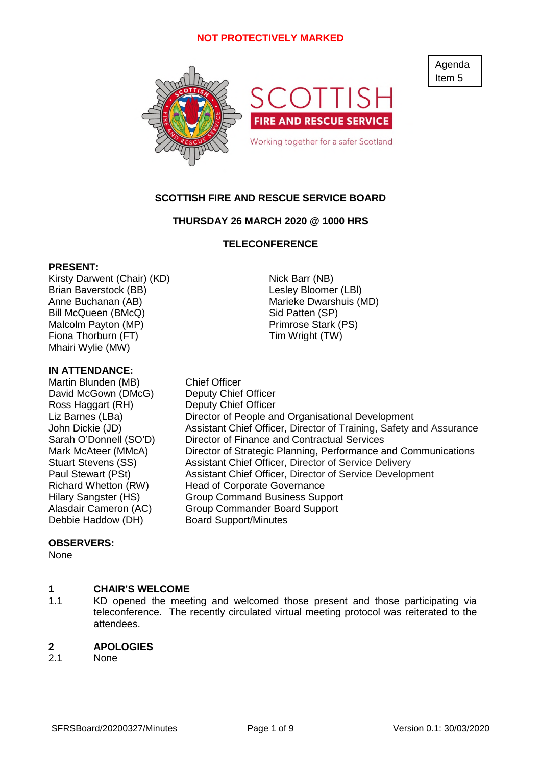

Agenda Item 5

# **SCOTTISH FIRE AND RESCUE SERVICE BOARD**

## **THURSDAY 26 MARCH 2020 @ 1000 HRS**

### **TELECONFERENCE**

### **PRESENT:**

Kirsty Darwent (Chair) (KD) Nick Barr (NB) Brian Baverstock (BB) Contract Contract Contract Lesley Bloomer (LBI) Anne Buchanan (AB) Marieke Dwarshuis (MD) Bill McQueen (BMcQ) Sid Patten (SP) Malcolm Payton (MP) Primrose Stark (PS) Fiona Thorburn (FT) Tim Wright (TW) Mhairi Wylie (MW)

### **IN ATTENDANCE:**

Martin Blunden (MB) Chief Officer David McGown (DMcG) Deputy Chief Officer Ross Haggart (RH) Deputy Chief Officer Debbie Haddow (DH) Board Support/Minutes

Liz Barnes (LBa) Director of People and Organisational Development John Dickie (JD) Assistant Chief Officer, Director of Training, Safety and Assurance Sarah O'Donnell (SO'D) Director of Finance and Contractual Services Mark McAteer (MMcA) Director of Strategic Planning, Performance and Communications Stuart Stevens (SS) Assistant Chief Officer, Director of Service Delivery Paul Stewart (PSt) Assistant Chief Officer, Director of Service Development Richard Whetton (RW) Head of Corporate Governance Hilary Sangster (HS) Group Command Business Support Alasdair Cameron (AC) Group Commander Board Support

### **OBSERVERS:**

None

#### **1 CHAIR'S WELCOME**

1.1 KD opened the meeting and welcomed those present and those participating via teleconference. The recently circulated virtual meeting protocol was reiterated to the attendees.

#### **2 APOLOGIES**

2.1 None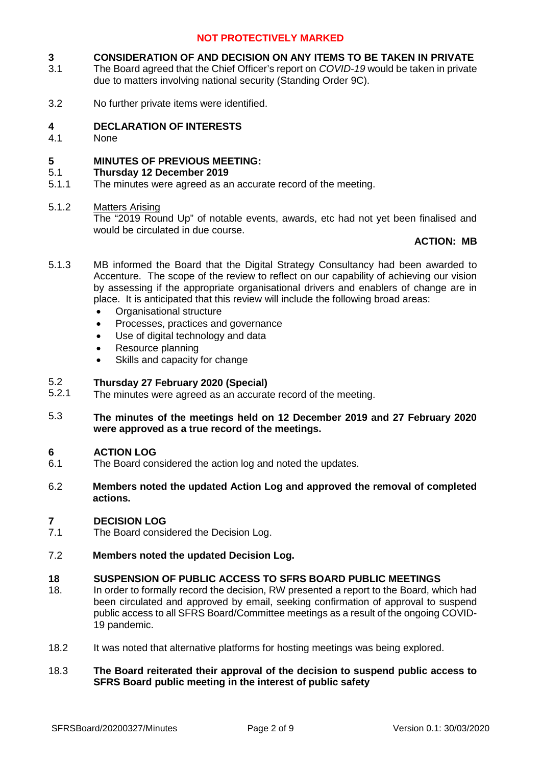#### **3 CONSIDERATION OF AND DECISION ON ANY ITEMS TO BE TAKEN IN PRIVATE**

- 3.1 The Board agreed that the Chief Officer's report on *COVID-19* would be taken in private due to matters involving national security (Standing Order 9C).
- 3.2 No further private items were identified.

#### **4 DECLARATION OF INTERESTS**

4.1 None

#### **5 MINUTES OF PREVIOUS MEETING:**

#### 5.1 **Thursday 12 December 2019**

5.1.1 The minutes were agreed as an accurate record of the meeting.

#### 5.1.2 Matters Arising

The "2019 Round Up" of notable events, awards, etc had not yet been finalised and would be circulated in due course.

# **ACTION: MB**

- 5.1.3 MB informed the Board that the Digital Strategy Consultancy had been awarded to Accenture. The scope of the review to reflect on our capability of achieving our vision by assessing if the appropriate organisational drivers and enablers of change are in place. It is anticipated that this review will include the following broad areas:
	- Organisational structure
	- Processes, practices and governance
	- Use of digital technology and data
	- Resource planning
	- Skills and capacity for change

#### 5.2 **Thursday 27 February 2020 (Special)**

- 5.2.1 The minutes were agreed as an accurate record of the meeting.
- 5.3 **The minutes of the meetings held on 12 December 2019 and 27 February 2020 were approved as a true record of the meetings.**

#### **6 ACTION LOG**

- 6.1 The Board considered the action log and noted the updates.
- 6.2 **Members noted the updated Action Log and approved the removal of completed actions.**

#### **7 DECISION LOG**

- 7.1 The Board considered the Decision Log.
- 7.2 **Members noted the updated Decision Log.**

## **18 SUSPENSION OF PUBLIC ACCESS TO SFRS BOARD PUBLIC MEETINGS**

- 18. In order to formally record the decision, RW presented a report to the Board, which had been circulated and approved by email, seeking confirmation of approval to suspend public access to all SFRS Board/Committee meetings as a result of the ongoing COVID-19 pandemic.
- 18.2 It was noted that alternative platforms for hosting meetings was being explored.

### 18.3 **The Board reiterated their approval of the decision to suspend public access to SFRS Board public meeting in the interest of public safety**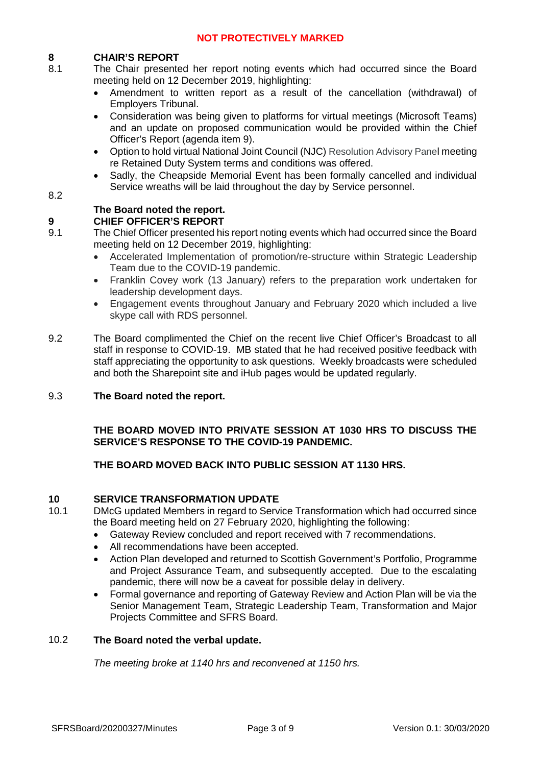# **8 CHAIR'S REPORT**

- 8.1 The Chair presented her report noting events which had occurred since the Board meeting held on 12 December 2019, highlighting:
	- Amendment to written report as a result of the cancellation (withdrawal) of Employers Tribunal.
	- Consideration was being given to platforms for virtual meetings (Microsoft Teams) and an update on proposed communication would be provided within the Chief Officer's Report (agenda item 9).
	- Option to hold virtual National Joint Council (NJC) Resolution Advisory Panel meeting re Retained Duty System terms and conditions was offered.
	- Sadly, the Cheapside Memorial Event has been formally cancelled and individual Service wreaths will be laid throughout the day by Service personnel.

# 8.2

# **The Board noted the report.**

# **9 CHIEF OFFICER'S REPORT**

- 9.1 The Chief Officer presented his report noting events which had occurred since the Board meeting held on 12 December 2019, highlighting:
	- Accelerated Implementation of promotion/re-structure within Strategic Leadership Team due to the COVID-19 pandemic.
	- Franklin Covey work (13 January) refers to the preparation work undertaken for leadership development days.
	- Engagement events throughout January and February 2020 which included a live skype call with RDS personnel.
- 9.2 The Board complimented the Chief on the recent live Chief Officer's Broadcast to all staff in response to COVID-19. MB stated that he had received positive feedback with staff appreciating the opportunity to ask questions. Weekly broadcasts were scheduled and both the Sharepoint site and iHub pages would be updated regularly.

#### 9.3 **The Board noted the report.**

# **THE BOARD MOVED INTO PRIVATE SESSION AT 1030 HRS TO DISCUSS THE SERVICE'S RESPONSE TO THE COVID-19 PANDEMIC.**

# **THE BOARD MOVED BACK INTO PUBLIC SESSION AT 1130 HRS.**

# **10 SERVICE TRANSFORMATION UPDATE**

10.1

DMcG updated Members in regard to Service Transformation which had occurred since the Board meeting held on 27 February 2020, highlighting the following:

- Gateway Review concluded and report received with 7 recommendations.
- All recommendations have been accepted.
- Action Plan developed and returned to Scottish Government's Portfolio, Programme and Project Assurance Team, and subsequently accepted. Due to the escalating pandemic, there will now be a caveat for possible delay in delivery.
- Formal governance and reporting of Gateway Review and Action Plan will be via the Senior Management Team, Strategic Leadership Team, Transformation and Major Projects Committee and SFRS Board.

#### 10.2 **The Board noted the verbal update.**

*The meeting broke at 1140 hrs and reconvened at 1150 hrs.*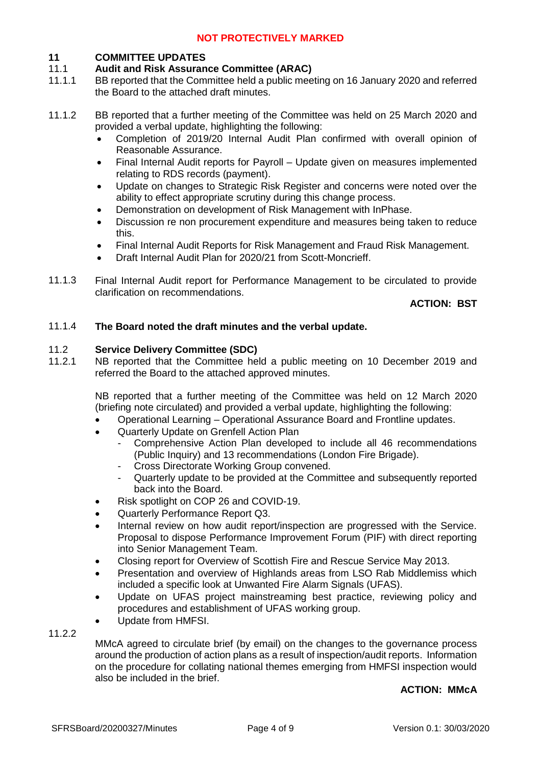# **11 COMMITTEE UPDATES**

#### 11.1 **Audit and Risk Assurance Committee (ARAC)**

- 11.1.1 BB reported that the Committee held a public meeting on 16 January 2020 and referred the Board to the attached draft minutes.
- 11.1.2 BB reported that a further meeting of the Committee was held on 25 March 2020 and provided a verbal update, highlighting the following:
	- Completion of 2019/20 Internal Audit Plan confirmed with overall opinion of Reasonable Assurance.
	- Final Internal Audit reports for Payroll Update given on measures implemented relating to RDS records (payment).
	- Update on changes to Strategic Risk Register and concerns were noted over the ability to effect appropriate scrutiny during this change process.
	- Demonstration on development of Risk Management with InPhase.
	- Discussion re non procurement expenditure and measures being taken to reduce this.
	- Final Internal Audit Reports for Risk Management and Fraud Risk Management.
	- Draft Internal Audit Plan for 2020/21 from Scott-Moncrieff.
- 11.1.3 Final Internal Audit report for Performance Management to be circulated to provide clarification on recommendations.

**ACTION: BST**

#### 11.1.4 **The Board noted the draft minutes and the verbal update.**

#### 11.2 **Service Delivery Committee (SDC)**

11.2.1 NB reported that the Committee held a public meeting on 10 December 2019 and referred the Board to the attached approved minutes.

> NB reported that a further meeting of the Committee was held on 12 March 2020 (briefing note circulated) and provided a verbal update, highlighting the following:

- Operational Learning Operational Assurance Board and Frontline updates.
- Quarterly Update on Grenfell Action Plan
	- Comprehensive Action Plan developed to include all 46 recommendations (Public Inquiry) and 13 recommendations (London Fire Brigade).
	- Cross Directorate Working Group convened.
	- Quarterly update to be provided at the Committee and subsequently reported back into the Board.
- Risk spotlight on COP 26 and COVID-19.
- Quarterly Performance Report Q3.
- Internal review on how audit report/inspection are progressed with the Service. Proposal to dispose Performance Improvement Forum (PIF) with direct reporting into Senior Management Team.
- Closing report for Overview of Scottish Fire and Rescue Service May 2013.
- Presentation and overview of Highlands areas from LSO Rab Middlemiss which included a specific look at Unwanted Fire Alarm Signals (UFAS).
- Update on UFAS project mainstreaming best practice, reviewing policy and procedures and establishment of UFAS working group.
- Update from HMFSI.

11.2.2

MMcA agreed to circulate brief (by email) on the changes to the governance process around the production of action plans as a result of inspection/audit reports. Information on the procedure for collating national themes emerging from HMFSI inspection would also be included in the brief.

### **ACTION: MMcA**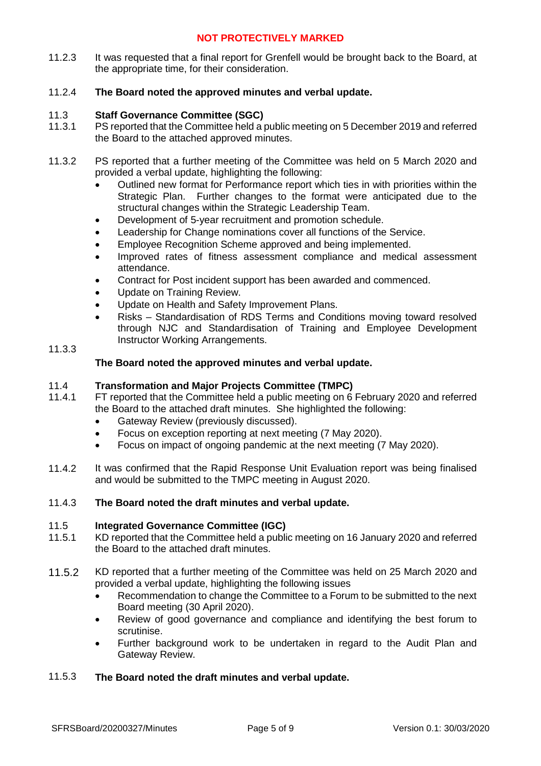11.2.3 It was requested that a final report for Grenfell would be brought back to the Board, at the appropriate time, for their consideration.

#### 11.2.4 **The Board noted the approved minutes and verbal update.**

#### 11.3 **Staff Governance Committee (SGC)**

- 11.3.1 PS reported that the Committee held a public meeting on 5 December 2019 and referred the Board to the attached approved minutes.
- 11.3.2 PS reported that a further meeting of the Committee was held on 5 March 2020 and provided a verbal update, highlighting the following:
	- Outlined new format for Performance report which ties in with priorities within the Strategic Plan. Further changes to the format were anticipated due to the structural changes within the Strategic Leadership Team.
	- Development of 5-year recruitment and promotion schedule.
	- Leadership for Change nominations cover all functions of the Service.
	- Employee Recognition Scheme approved and being implemented.
	- Improved rates of fitness assessment compliance and medical assessment attendance.
	- Contract for Post incident support has been awarded and commenced.
	- Update on Training Review.
	- Update on Health and Safety Improvement Plans.
	- Risks Standardisation of RDS Terms and Conditions moving toward resolved through NJC and Standardisation of Training and Employee Development Instructor Working Arrangements.

# 11.3.3

## **The Board noted the approved minutes and verbal update.**

#### 11.4 **Transformation and Major Projects Committee (TMPC)**

- 11.4.1 FT reported that the Committee held a public meeting on 6 February 2020 and referred the Board to the attached draft minutes. She highlighted the following:
	- Gateway Review (previously discussed).
	- Focus on exception reporting at next meeting (7 May 2020).
	- Focus on impact of ongoing pandemic at the next meeting (7 May 2020).
- 11.4.2 It was confirmed that the Rapid Response Unit Evaluation report was being finalised and would be submitted to the TMPC meeting in August 2020.

#### 11.4.3 **The Board noted the draft minutes and verbal update.**

#### 11.5 **Integrated Governance Committee (IGC)**

- 11.5.1 KD reported that the Committee held a public meeting on 16 January 2020 and referred the Board to the attached draft minutes.
- 11.5.2 KD reported that a further meeting of the Committee was held on 25 March 2020 and provided a verbal update, highlighting the following issues
	- Recommendation to change the Committee to a Forum to be submitted to the next Board meeting (30 April 2020).
	- Review of good governance and compliance and identifying the best forum to scrutinise.
	- Further background work to be undertaken in regard to the Audit Plan and Gateway Review.

#### 11.5.3 **The Board noted the draft minutes and verbal update.**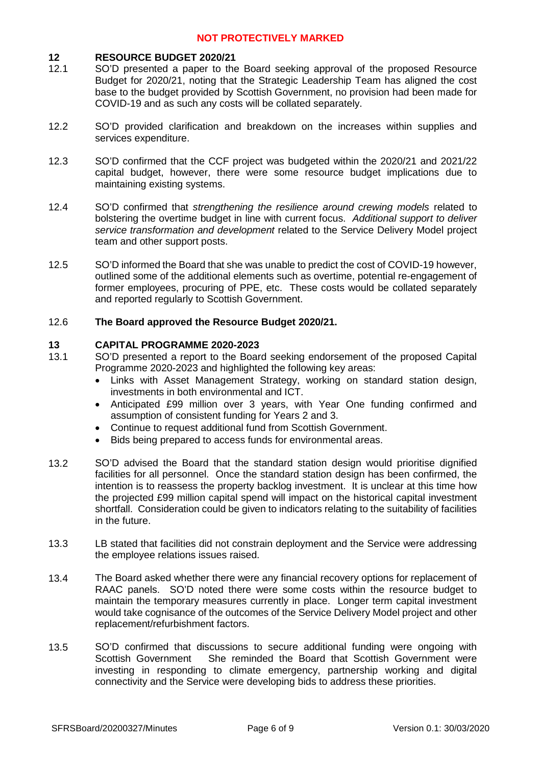### **12 RESOURCE BUDGET 2020/21**

- 12.1 SO'D presented a paper to the Board seeking approval of the proposed Resource Budget for 2020/21, noting that the Strategic Leadership Team has aligned the cost base to the budget provided by Scottish Government, no provision had been made for COVID-19 and as such any costs will be collated separately.
- 12.2 SO'D provided clarification and breakdown on the increases within supplies and services expenditure.
- 12.3 SO'D confirmed that the CCF project was budgeted within the 2020/21 and 2021/22 capital budget, however, there were some resource budget implications due to maintaining existing systems.
- 12.4 SO'D confirmed that *strengthening the resilience around crewing models* related to bolstering the overtime budget in line with current focus. *Additional support to deliver service transformation and development* related to the Service Delivery Model project team and other support posts.
- 12.5 SO'D informed the Board that she was unable to predict the cost of COVID-19 however, outlined some of the additional elements such as overtime, potential re-engagement of former employees, procuring of PPE, etc. These costs would be collated separately and reported regularly to Scottish Government.

#### 12.6 **The Board approved the Resource Budget 2020/21.**

### **13 CAPITAL PROGRAMME 2020-2023**

- 13.1 SO'D presented a report to the Board seeking endorsement of the proposed Capital Programme 2020-2023 and highlighted the following key areas:
	- Links with Asset Management Strategy, working on standard station design, investments in both environmental and ICT.
	- Anticipated £99 million over 3 years, with Year One funding confirmed and assumption of consistent funding for Years 2 and 3.
	- Continue to request additional fund from Scottish Government.
	- Bids being prepared to access funds for environmental areas.
- 13.2 SO'D advised the Board that the standard station design would prioritise dignified facilities for all personnel. Once the standard station design has been confirmed, the intention is to reassess the property backlog investment. It is unclear at this time how the projected £99 million capital spend will impact on the historical capital investment shortfall. Consideration could be given to indicators relating to the suitability of facilities in the future.
- 13.3 LB stated that facilities did not constrain deployment and the Service were addressing the employee relations issues raised.
- 13.4 The Board asked whether there were any financial recovery options for replacement of RAAC panels. SO'D noted there were some costs within the resource budget to maintain the temporary measures currently in place. Longer term capital investment would take cognisance of the outcomes of the Service Delivery Model project and other replacement/refurbishment factors.
- 13.5 SO'D confirmed that discussions to secure additional funding were ongoing with Scottish Government She reminded the Board that Scottish Government were investing in responding to climate emergency, partnership working and digital connectivity and the Service were developing bids to address these priorities.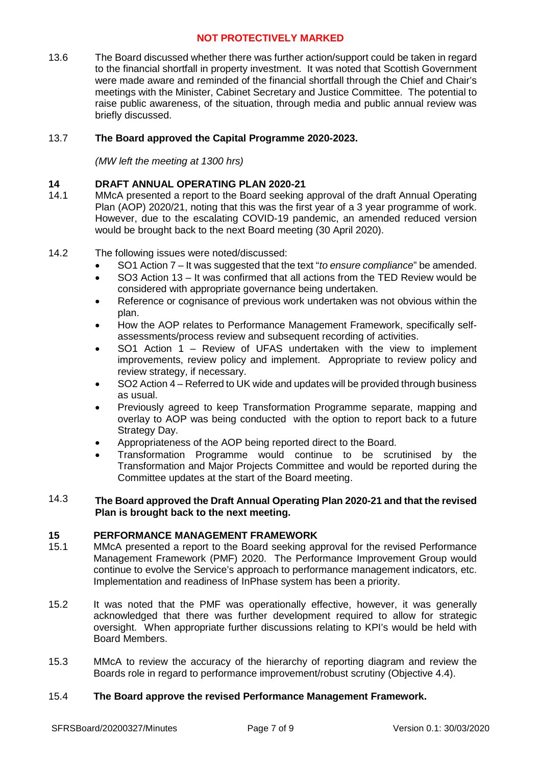13.6 The Board discussed whether there was further action/support could be taken in regard to the financial shortfall in property investment. It was noted that Scottish Government were made aware and reminded of the financial shortfall through the Chief and Chair's meetings with the Minister, Cabinet Secretary and Justice Committee. The potential to raise public awareness, of the situation, through media and public annual review was briefly discussed.

#### 13.7 **The Board approved the Capital Programme 2020-2023.**

*(MW left the meeting at 1300 hrs)*

# **14 DRAFT ANNUAL OPERATING PLAN 2020-21**

- 14.1 MMcA presented a report to the Board seeking approval of the draft Annual Operating Plan (AOP) 2020/21, noting that this was the first year of a 3 year programme of work. However, due to the escalating COVID-19 pandemic, an amended reduced version would be brought back to the next Board meeting (30 April 2020).
- 14.2 The following issues were noted/discussed:
	- SO1 Action 7 It was suggested that the text "*to ensure compliance*" be amended.
	- SO3 Action 13 It was confirmed that all actions from the TED Review would be considered with appropriate governance being undertaken.
	- Reference or cognisance of previous work undertaken was not obvious within the plan.
	- How the AOP relates to Performance Management Framework, specifically selfassessments/process review and subsequent recording of activities.
	- SO1 Action 1 Review of UFAS undertaken with the view to implement improvements, review policy and implement. Appropriate to review policy and review strategy, if necessary.
	- SO2 Action 4 Referred to UK wide and updates will be provided through business as usual.
	- Previously agreed to keep Transformation Programme separate, mapping and overlay to AOP was being conducted with the option to report back to a future Strategy Day.
	- Appropriateness of the AOP being reported direct to the Board.
	- Transformation Programme would continue to be scrutinised by the Transformation and Major Projects Committee and would be reported during the Committee updates at the start of the Board meeting.

### 14.3 **The Board approved the Draft Annual Operating Plan 2020-21 and that the revised Plan is brought back to the next meeting.**

### **15 PERFORMANCE MANAGEMENT FRAMEWORK**

- 15.1 MMcA presented a report to the Board seeking approval for the revised Performance Management Framework (PMF) 2020. The Performance Improvement Group would continue to evolve the Service's approach to performance management indicators, etc. Implementation and readiness of InPhase system has been a priority.
- 15.2 It was noted that the PMF was operationally effective, however, it was generally acknowledged that there was further development required to allow for strategic oversight. When appropriate further discussions relating to KPI's would be held with Board Members.
- 15.3 MMcA to review the accuracy of the hierarchy of reporting diagram and review the Boards role in regard to performance improvement/robust scrutiny (Objective 4.4).

#### 15.4 **The Board approve the revised Performance Management Framework.**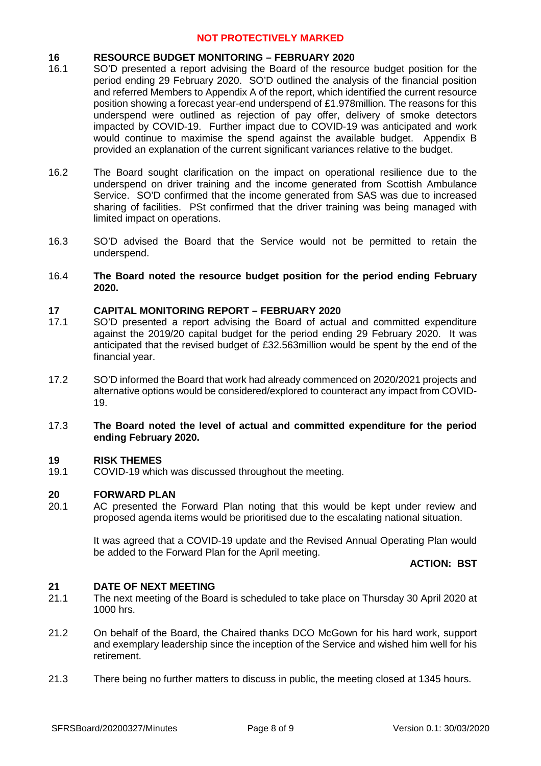### **16 RESOURCE BUDGET MONITORING – FEBRUARY 2020**

- 16.1 SO'D presented a report advising the Board of the resource budget position for the period ending 29 February 2020. SO'D outlined the analysis of the financial position and referred Members to Appendix A of the report, which identified the current resource position showing a forecast year-end underspend of £1.978million. The reasons for this underspend were outlined as rejection of pay offer, delivery of smoke detectors impacted by COVID-19. Further impact due to COVID-19 was anticipated and work would continue to maximise the spend against the available budget. Appendix B provided an explanation of the current significant variances relative to the budget.
- 16.2 The Board sought clarification on the impact on operational resilience due to the underspend on driver training and the income generated from Scottish Ambulance Service. SO'D confirmed that the income generated from SAS was due to increased sharing of facilities. PSt confirmed that the driver training was being managed with limited impact on operations.
- 16.3 SO'D advised the Board that the Service would not be permitted to retain the underspend.
- 16.4 **The Board noted the resource budget position for the period ending February 2020.**

### **17 CAPITAL MONITORING REPORT – FEBRUARY 2020**

- 17.1 SO'D presented a report advising the Board of actual and committed expenditure against the 2019/20 capital budget for the period ending 29 February 2020. It was anticipated that the revised budget of £32.563million would be spent by the end of the financial year.
- 17.2 SO'D informed the Board that work had already commenced on 2020/2021 projects and alternative options would be considered/explored to counteract any impact from COVID-19.

### 17.3 **The Board noted the level of actual and committed expenditure for the period ending February 2020.**

### **19 RISK THEMES**

19.1 COVID-19 which was discussed throughout the meeting.

### **20 FORWARD PLAN**

20.1 AC presented the Forward Plan noting that this would be kept under review and proposed agenda items would be prioritised due to the escalating national situation.

> It was agreed that a COVID-19 update and the Revised Annual Operating Plan would be added to the Forward Plan for the April meeting.

### **ACTION: BST**

### **21 DATE OF NEXT MEETING**

- 21.1 The next meeting of the Board is scheduled to take place on Thursday 30 April 2020 at 1000 hrs.
- 21.2 On behalf of the Board, the Chaired thanks DCO McGown for his hard work, support and exemplary leadership since the inception of the Service and wished him well for his retirement.
- 21.3 There being no further matters to discuss in public, the meeting closed at 1345 hours.